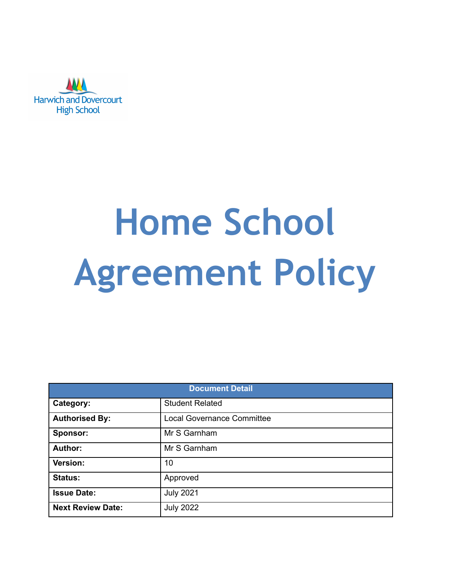

# **Home School Agreement Policy**

| <b>Document Detail</b>   |                                   |  |  |  |
|--------------------------|-----------------------------------|--|--|--|
| Category:                | <b>Student Related</b>            |  |  |  |
| <b>Authorised By:</b>    | <b>Local Governance Committee</b> |  |  |  |
| Sponsor:                 | Mr S Garnham                      |  |  |  |
| <b>Author:</b>           | Mr S Garnham                      |  |  |  |
| Version:                 | 10                                |  |  |  |
| <b>Status:</b>           | Approved                          |  |  |  |
| <b>Issue Date:</b>       | <b>July 2021</b>                  |  |  |  |
| <b>Next Review Date:</b> | <b>July 2022</b>                  |  |  |  |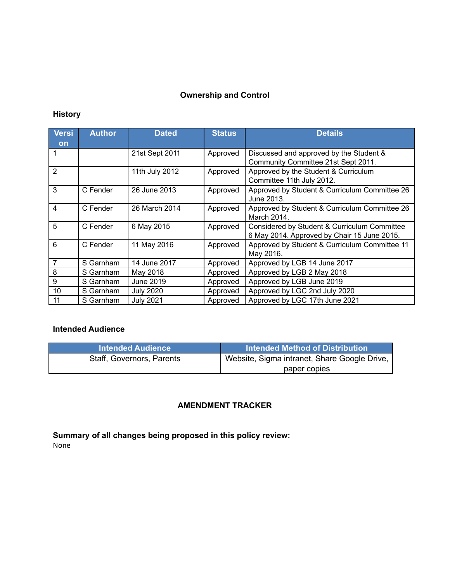# **Ownership and Control**

# **History**

| <b>Versi</b><br><b>on</b> | <b>Author</b> | <b>Dated</b>     | <b>Status</b> | <b>Details</b>                                                                              |
|---------------------------|---------------|------------------|---------------|---------------------------------------------------------------------------------------------|
| 1                         |               | 21st Sept 2011   | Approved      | Discussed and approved by the Student &<br>Community Committee 21st Sept 2011.              |
| $\overline{2}$            |               | 11th July 2012   | Approved      | Approved by the Student & Curriculum<br>Committee 11th July 2012.                           |
| 3                         | C Fender      | 26 June 2013     | Approved      | Approved by Student & Curriculum Committee 26<br>June 2013.                                 |
| $\overline{4}$            | C Fender      | 26 March 2014    | Approved      | Approved by Student & Curriculum Committee 26<br>March 2014.                                |
| 5                         | C Fender      | 6 May 2015       | Approved      | Considered by Student & Curriculum Committee<br>6 May 2014. Approved by Chair 15 June 2015. |
| 6                         | C Fender      | 11 May 2016      | Approved      | Approved by Student & Curriculum Committee 11<br>May 2016.                                  |
| $\overline{7}$            | S Garnham     | 14 June 2017     | Approved      | Approved by LGB 14 June 2017                                                                |
| 8                         | S Garnham     | May 2018         | Approved      | Approved by LGB 2 May 2018                                                                  |
| 9                         | S Garnham     | June 2019        | Approved      | Approved by LGB June 2019                                                                   |
| 10                        | S Garnham     | <b>July 2020</b> | Approved      | Approved by LGC 2nd July 2020                                                               |
| 11                        | S Garnham     | <b>July 2021</b> | Approved      | Approved by LGC 17th June 2021                                                              |

# **Intended Audience**

| <b>Intended Audience</b>  | Intended Method of Distribution <b>b</b>     |
|---------------------------|----------------------------------------------|
| Staff, Governors, Parents | Website, Sigma intranet, Share Google Drive, |
|                           | paper copies                                 |

# **AMENDMENT TRACKER**

**Summary of all changes being proposed in this policy review:** None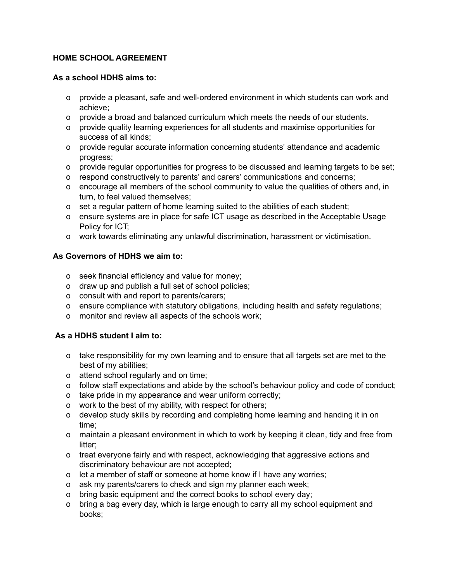### **HOME SCHOOL AGREEMENT**

#### **As a school HDHS aims to:**

- o provide a pleasant, safe and well-ordered environment in which students can work and achieve;
- o provide a broad and balanced curriculum which meets the needs of our students.
- o provide quality learning experiences for all students and maximise opportunities for success of all kinds;
- o provide regular accurate information concerning students' attendance and academic progress;
- o provide regular opportunities for progress to be discussed and learning targets to be set;
- o respond constructively to parents' and carers' communications and concerns;
- o encourage all members of the school community to value the qualities of others and, in turn, to feel valued themselves;
- o set a regular pattern of home learning suited to the abilities of each student;
- o ensure systems are in place for safe ICT usage as described in the Acceptable Usage Policy for ICT;
- o work towards eliminating any unlawful discrimination, harassment or victimisation.

#### **As Governors of HDHS we aim to:**

- o seek financial efficiency and value for money;
- o draw up and publish a full set of school policies;
- o consult with and report to parents/carers;
- o ensure compliance with statutory obligations, including health and safety regulations;
- o monitor and review all aspects of the schools work;

#### **As a HDHS student I aim to:**

- o take responsibility for my own learning and to ensure that all targets set are met to the best of my abilities;
- o attend school regularly and on time;
- o follow staff expectations and abide by the school's behaviour policy and code of conduct;
- o take pride in my appearance and wear uniform correctly;
- o work to the best of my ability, with respect for others;
- o develop study skills by recording and completing home learning and handing it in on time;
- o maintain a pleasant environment in which to work by keeping it clean, tidy and free from litter;
- o treat everyone fairly and with respect, acknowledging that aggressive actions and discriminatory behaviour are not accepted;
- o let a member of staff or someone at home know if I have any worries;
- o ask my parents/carers to check and sign my planner each week;
- o bring basic equipment and the correct books to school every day;
- o bring a bag every day, which is large enough to carry all my school equipment and books;